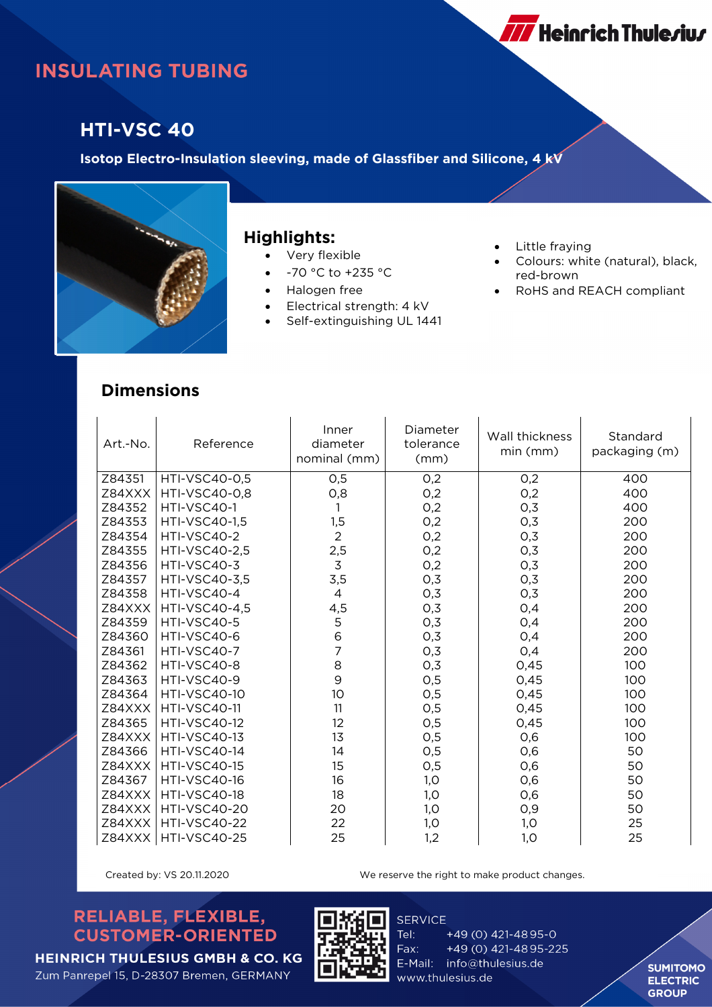# **INSULATING TUBING**

### **HTI-VSC 40**

**Isotop Electro-Insulation sleeving, made of Glassfiber and Silicone, 4 kV**



#### **Highlights:**

- Very flexible
- -70 °C to +235 °C
- Halogen free
- Electrical strength: 4 kV
- Self-extinguishing UL 1441
- Little fraying
- Colours: white (natural), black, red-brown

**777** Heinrich Thule*r*iu*r* 

RoHS and REACH compliant

### **Dimensions**

| Art.-No. | Reference            | Inner<br>diameter<br>nominal (mm)     | Diameter<br>tolerance<br>(mm) | Wall thickness<br>min (mm) | Standard<br>packaging (m) |
|----------|----------------------|---------------------------------------|-------------------------------|----------------------------|---------------------------|
| Z84351   | HTI-VSC40-0,5        | 0,5                                   | 0,2                           | 0,2                        | 400                       |
| Z84XXX   | <b>HTI-VSC40-0.8</b> | 0,8                                   | 0,2                           | 0,2                        | 400                       |
| Z84352   | HTI-VSC40-1          |                                       | O,2                           | O,3                        | 400                       |
| Z84353   | <b>HTI-VSC40-1,5</b> | 1,5                                   | 0,2                           | 0,3                        | 200                       |
| Z84354   | HTI-VSC40-2          | $\overline{2}$                        | 0,2                           | 0,3                        | 200                       |
| Z84355   | HTI-VSC40-2,5        | 2,5                                   | 0,2                           | O,3                        | 200                       |
| Z84356   | HTI-VSC40-3          | $\mathfrak{Z}$                        | 0,2                           | O,3                        | 200                       |
| Z84357   | HTI-VSC40-3,5        | 3,5                                   | 0,3                           | 0,3                        | 200                       |
| Z84358   | HTI-VSC40-4          | $\overline{4}$                        | 0,3                           | O,3                        | 200                       |
| Z84XXX   | <b>HTI-VSC40-4,5</b> | 4,5                                   | 0,3                           | O,4                        | 200                       |
| Z84359   | HTI-VSC40-5          | 5                                     | 0,3                           | O,4                        | 200                       |
| Z84360   | HTI-VSC40-6          | $\begin{array}{c} 6 \\ 7 \end{array}$ | 0,3                           | O,4                        | 200                       |
| Z84361   | HTI-VSC40-7          |                                       | 0,3                           | 0,4                        | 200                       |
| Z84362   | HTI-VSC40-8          | 8                                     | 0,3                           | 0,45                       | 100                       |
| Z84363   | HTI-VSC40-9          | 9                                     | 0,5                           | 0,45                       | 100                       |
| Z84364   | <b>HTI-VSC40-10</b>  | 10                                    | 0,5                           | 0,45                       | 100                       |
| Z84XXX   | <b>HTI-VSC40-11</b>  | 11                                    | 0,5                           | 0,45                       | 100                       |
| Z84365   | <b>HTI-VSC40-12</b>  | 12                                    | 0,5                           | 0,45                       | 100                       |
| Z84XXX   | <b>HTI-VSC40-13</b>  | 13                                    | 0,5                           | 0,6                        | 100                       |
| Z84366   | <b>HTI-VSC40-14</b>  | 14                                    | 0,5                           | 0,6                        | 50                        |
| Z84XXX   | <b>HTI-VSC40-15</b>  | 15                                    | 0,5                           | 0,6                        | 50                        |
| Z84367   | <b>HTI-VSC40-16</b>  | 16                                    | 1,0                           | 0,6                        | 50                        |
| Z84XXX   | <b>HTI-VSC40-18</b>  | 18                                    | 1,0                           | 0,6                        | 50                        |
| Z84XXX   | <b>HTI-VSC40-20</b>  | 20                                    | 1,0                           | O,9                        | 50                        |
| Z84XXX   | <b>HTI-VSC40-22</b>  | 22                                    | 1,0                           | 1,0                        | 25                        |
| Z84XXX   | <b>HTI-VSC40-25</b>  | 25                                    | 1,2                           | 1,0                        | 25                        |

Created by: VS 20.11.2020 We reserve the right to make product changes.

### RELIABLE, FLEXIBLE, **CUSTOMER-ORIENTED**



**SERVICE** Tel: Fax: www.thulesius.de

+49 (0) 421-4895-0 +49 (0) 421-4895-225 E-Mail: info@thulesius.de

**SUMITOMO ELECTRIC GROUP**